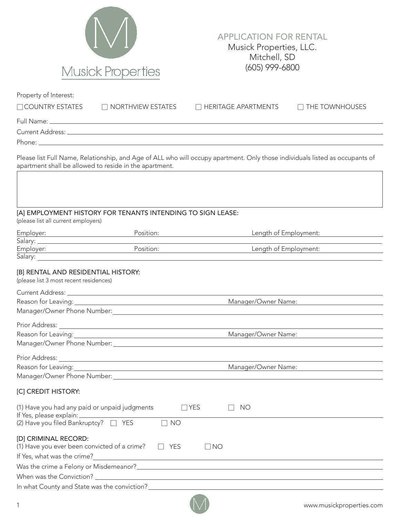

## APPLICATION FOR RENTAL Musick Properties, LLC. Mitchell, SD (605) 999-6800

| Property of Interest:                                                         |                                                             |                                                                                                                              |                       |
|-------------------------------------------------------------------------------|-------------------------------------------------------------|------------------------------------------------------------------------------------------------------------------------------|-----------------------|
| $\Box$ COUNTRY ESTATES                                                        | $\Box$ NORTHVIEW ESTATES                                    | $\Box$ HERITAGE APARTMENTS                                                                                                   | $\Box$ THE TOWNHOUSES |
|                                                                               |                                                             |                                                                                                                              |                       |
|                                                                               |                                                             |                                                                                                                              |                       |
|                                                                               |                                                             |                                                                                                                              |                       |
|                                                                               | apartment shall be allowed to reside in the apartment.      | Please list Full Name, Relationship, and Age of ALL who will occupy apartment. Only those individuals listed as occupants of |                       |
|                                                                               |                                                             |                                                                                                                              |                       |
|                                                                               | [A] EMPLOYMENT HISTORY FOR TENANTS INTENDING TO SIGN LEASE: |                                                                                                                              |                       |
| (please list all current employers)                                           |                                                             |                                                                                                                              |                       |
| Employer:                                                                     | Position:                                                   | Length of Employment:                                                                                                        |                       |
|                                                                               |                                                             |                                                                                                                              |                       |
|                                                                               | Position:                                                   | Length of Employment:                                                                                                        |                       |
|                                                                               |                                                             |                                                                                                                              |                       |
| [B] RENTAL AND RESIDENTIAL HISTORY:<br>(please list 3 most recent residences) |                                                             |                                                                                                                              |                       |
|                                                                               |                                                             |                                                                                                                              |                       |
|                                                                               |                                                             | Manager/Owner Name:                                                                                                          |                       |
|                                                                               |                                                             |                                                                                                                              |                       |
|                                                                               |                                                             |                                                                                                                              |                       |
|                                                                               |                                                             | Manager/Owner Name:                                                                                                          |                       |
|                                                                               |                                                             |                                                                                                                              |                       |
|                                                                               |                                                             |                                                                                                                              |                       |
|                                                                               |                                                             | Manager/Owner Name:                                                                                                          |                       |
| Manager/Owner Phone Number:                                                   |                                                             |                                                                                                                              |                       |
|                                                                               |                                                             |                                                                                                                              |                       |
| [C] CREDIT HISTORY:                                                           |                                                             |                                                                                                                              |                       |
| (1) Have you had any paid or unpaid judgments                                 |                                                             | $\Box$ YES<br><b>NO</b>                                                                                                      |                       |
| If Yes, please explain: __________<br>(2) Have you filed Bankruptcy? □ YES    | $\Box$ NO                                                   |                                                                                                                              |                       |
| [D] CRIMINAL RECORD:                                                          |                                                             |                                                                                                                              |                       |
| (1) Have you ever been convicted of a crime?                                  | YES                                                         | $\Box$ NO                                                                                                                    |                       |
| If Yes, what was the crime?                                                   | <u> 1980 - John Stein, Amerikaansk politiker (* 1901)</u>   |                                                                                                                              |                       |
| Was the crime a Felony or Misdemeanor?_                                       |                                                             |                                                                                                                              |                       |